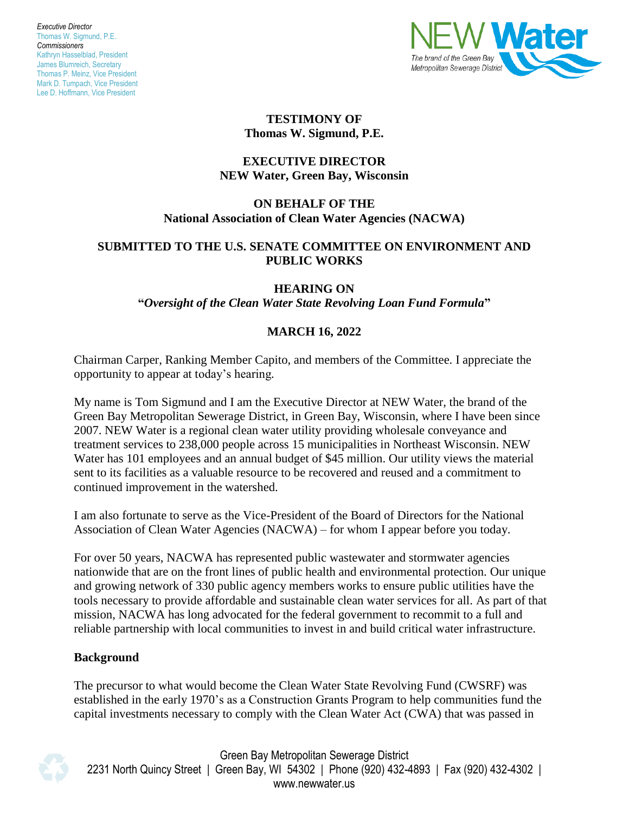

#### **TESTIMONY OF Thomas W. Sigmund, P.E.**

# **EXECUTIVE DIRECTOR NEW Water, Green Bay, Wisconsin**

# **ON BEHALF OF THE National Association of Clean Water Agencies (NACWA)**

#### **SUBMITTED TO THE U.S. SENATE COMMITTEE ON ENVIRONMENT AND PUBLIC WORKS**

## **HEARING ON**

**"***Oversight of the Clean Water State Revolving Loan Fund Formula***"**

# **MARCH 16, 2022**

Chairman Carper, Ranking Member Capito, and members of the Committee. I appreciate the opportunity to appear at today's hearing*.*

My name is Tom Sigmund and I am the Executive Director at NEW Water, the brand of the Green Bay Metropolitan Sewerage District, in Green Bay, Wisconsin, where I have been since 2007. NEW Water is a regional clean water utility providing wholesale conveyance and treatment services to 238,000 people across 15 municipalities in Northeast Wisconsin. NEW Water has 101 employees and an annual budget of \$45 million. Our utility views the material sent to its facilities as a valuable resource to be recovered and reused and a commitment to continued improvement in the watershed.

I am also fortunate to serve as the Vice-President of the Board of Directors for the National Association of Clean Water Agencies (NACWA) – for whom I appear before you today.

For over 50 years, NACWA has represented public wastewater and stormwater agencies nationwide that are on the front lines of public health and environmental protection. Our unique and growing network of 330 public agency members works to ensure public utilities have the tools necessary to provide affordable and sustainable clean water services for all. As part of that mission, NACWA has long advocated for the federal government to recommit to a full and reliable partnership with local communities to invest in and build critical water infrastructure.

# **Background**

The precursor to what would become the Clean Water State Revolving Fund (CWSRF) was established in the early 1970's as a Construction Grants Program to help communities fund the capital investments necessary to comply with the Clean Water Act (CWA) that was passed in



Green Bay Metropolitan Sewerage District 2231 North Quincy Street | Green Bay, WI 54302 | Phone (920) 432-4893 | Fax (920) 432-4302 | www.newwater.us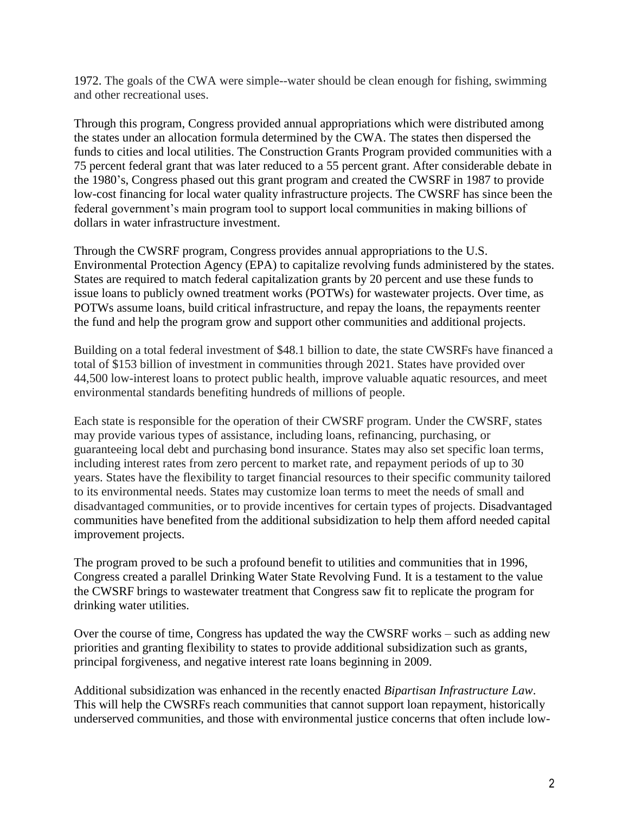1972. The goals of the CWA were simple--water should be clean enough for fishing, swimming and other recreational uses.

Through this program, Congress provided annual appropriations which were distributed among the states under an allocation formula determined by the CWA. The states then dispersed the funds to cities and local utilities. The Construction Grants Program provided communities with a 75 percent federal grant that was later reduced to a 55 percent grant. After considerable debate in the 1980's, Congress phased out this grant program and created the CWSRF in 1987 to provide low-cost financing for local water quality infrastructure projects. The CWSRF has since been the federal government's main program tool to support local communities in making billions of dollars in water infrastructure investment.

Through the CWSRF program, Congress provides annual appropriations to the U.S. Environmental Protection Agency (EPA) to capitalize revolving funds administered by the states. States are required to match federal capitalization grants by 20 percent and use these funds to issue loans to publicly owned treatment works (POTWs) for wastewater projects. Over time, as POTWs assume loans, build critical infrastructure, and repay the loans, the repayments reenter the fund and help the program grow and support other communities and additional projects.

Building on a total federal investment of \$48.1 billion to date, the state CWSRFs have financed a total of \$153 billion of investment in communities through 2021. States have provided over 44,500 low-interest loans to protect public health, improve valuable aquatic resources, and meet environmental standards benefiting hundreds of millions of people.

Each state is responsible for the operation of their CWSRF program. Under the CWSRF, states may provide various types of assistance, including loans, refinancing, purchasing, or guaranteeing local debt and purchasing bond insurance. States may also set specific loan terms, including interest rates from zero percent to market rate, and repayment periods of up to 30 years. States have the flexibility to target financial resources to their specific community tailored to its environmental needs. States may customize loan terms to meet the needs of small and disadvantaged communities, or to provide incentives for certain types of projects. Disadvantaged communities have benefited from the additional subsidization to help them afford needed capital improvement projects.

The program proved to be such a profound benefit to utilities and communities that in 1996, Congress created a parallel Drinking Water State Revolving Fund. It is a testament to the value the CWSRF brings to wastewater treatment that Congress saw fit to replicate the program for drinking water utilities.

Over the course of time, Congress has updated the way the CWSRF works – such as adding new priorities and granting flexibility to states to provide additional subsidization such as grants, principal forgiveness, and negative interest rate loans beginning in 2009.

Additional subsidization was enhanced in the recently enacted *Bipartisan Infrastructure Law*. This will help the CWSRFs reach communities that cannot support loan repayment, historically underserved communities, and those with environmental justice concerns that often include low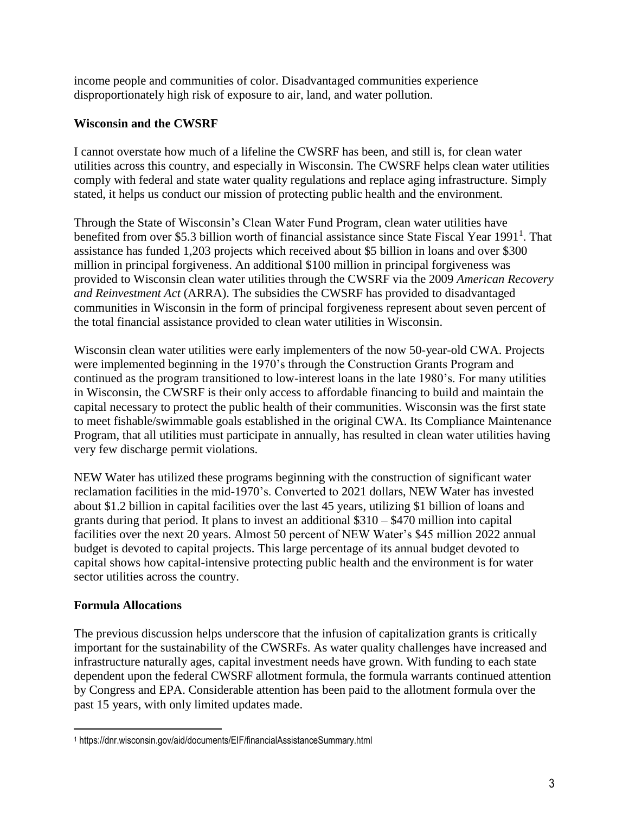income people and communities of color. Disadvantaged communities experience disproportionately high risk of exposure to air, land, and water pollution.

## **Wisconsin and the CWSRF**

I cannot overstate how much of a lifeline the CWSRF has been, and still is, for clean water utilities across this country, and especially in Wisconsin. The CWSRF helps clean water utilities comply with federal and state water quality regulations and replace aging infrastructure. Simply stated, it helps us conduct our mission of protecting public health and the environment.

Through the State of Wisconsin's Clean Water Fund Program, clean water utilities have benefited from over \$5.3 billion worth of financial assistance since State Fiscal Year 1991<sup>1</sup>. That assistance has funded 1,203 projects which received about \$5 billion in loans and over \$300 million in principal forgiveness. An additional \$100 million in principal forgiveness was provided to Wisconsin clean water utilities through the CWSRF via the 2009 *American Recovery and Reinvestment Act* (ARRA). The subsidies the CWSRF has provided to disadvantaged communities in Wisconsin in the form of principal forgiveness represent about seven percent of the total financial assistance provided to clean water utilities in Wisconsin.

Wisconsin clean water utilities were early implementers of the now 50-year-old CWA. Projects were implemented beginning in the 1970's through the Construction Grants Program and continued as the program transitioned to low-interest loans in the late 1980's. For many utilities in Wisconsin, the CWSRF is their only access to affordable financing to build and maintain the capital necessary to protect the public health of their communities. Wisconsin was the first state to meet fishable/swimmable goals established in the original CWA. Its Compliance Maintenance Program, that all utilities must participate in annually, has resulted in clean water utilities having very few discharge permit violations.

NEW Water has utilized these programs beginning with the construction of significant water reclamation facilities in the mid-1970's. Converted to 2021 dollars, NEW Water has invested about \$1.2 billion in capital facilities over the last 45 years, utilizing \$1 billion of loans and grants during that period. It plans to invest an additional \$310 – \$470 million into capital facilities over the next 20 years. Almost 50 percent of NEW Water's \$45 million 2022 annual budget is devoted to capital projects. This large percentage of its annual budget devoted to capital shows how capital-intensive protecting public health and the environment is for water sector utilities across the country.

#### **Formula Allocations**

 $\overline{a}$ 

The previous discussion helps underscore that the infusion of capitalization grants is critically important for the sustainability of the CWSRFs. As water quality challenges have increased and infrastructure naturally ages, capital investment needs have grown. With funding to each state dependent upon the federal CWSRF allotment formula, the formula warrants continued attention by Congress and EPA. Considerable attention has been paid to the allotment formula over the past 15 years, with only limited updates made.

<sup>1</sup> https://dnr.wisconsin.gov/aid/documents/EIF/financialAssistanceSummary.html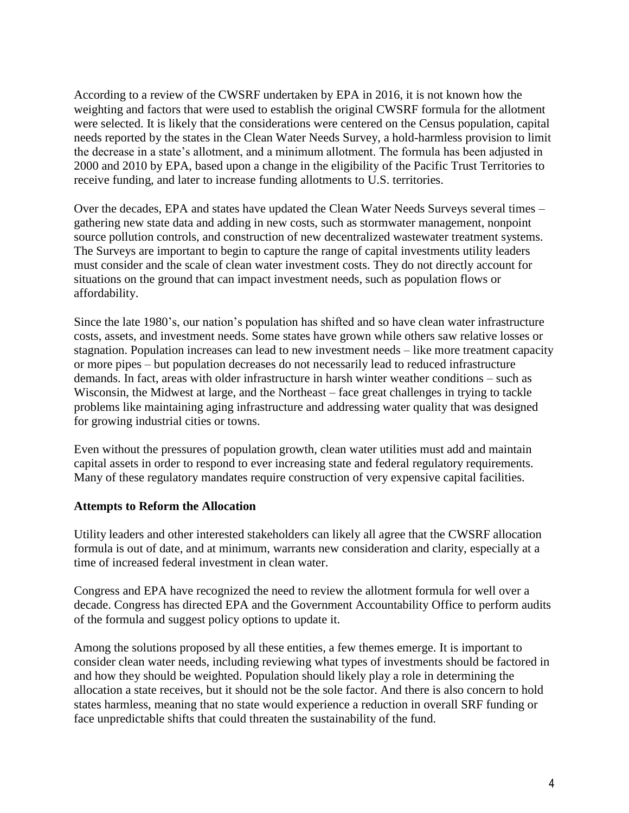According to a review of the CWSRF undertaken by EPA in 2016, it is not known how the weighting and factors that were used to establish the original CWSRF formula for the allotment were selected. It is likely that the considerations were centered on the Census population, capital needs reported by the states in the Clean Water Needs Survey, a hold-harmless provision to limit the decrease in a state's allotment, and a minimum allotment. The formula has been adjusted in 2000 and 2010 by EPA, based upon a change in the eligibility of the Pacific Trust Territories to receive funding, and later to increase funding allotments to U.S. territories.

Over the decades, EPA and states have updated the Clean Water Needs Surveys several times – gathering new state data and adding in new costs, such as stormwater management, nonpoint source pollution controls, and construction of new decentralized wastewater treatment systems. The Surveys are important to begin to capture the range of capital investments utility leaders must consider and the scale of clean water investment costs. They do not directly account for situations on the ground that can impact investment needs, such as population flows or affordability.

Since the late 1980's, our nation's population has shifted and so have clean water infrastructure costs, assets, and investment needs. Some states have grown while others saw relative losses or stagnation. Population increases can lead to new investment needs – like more treatment capacity or more pipes – but population decreases do not necessarily lead to reduced infrastructure demands. In fact, areas with older infrastructure in harsh winter weather conditions – such as Wisconsin, the Midwest at large, and the Northeast – face great challenges in trying to tackle problems like maintaining aging infrastructure and addressing water quality that was designed for growing industrial cities or towns.

Even without the pressures of population growth, clean water utilities must add and maintain capital assets in order to respond to ever increasing state and federal regulatory requirements. Many of these regulatory mandates require construction of very expensive capital facilities.

#### **Attempts to Reform the Allocation**

Utility leaders and other interested stakeholders can likely all agree that the CWSRF allocation formula is out of date, and at minimum, warrants new consideration and clarity, especially at a time of increased federal investment in clean water.

Congress and EPA have recognized the need to review the allotment formula for well over a decade. Congress has directed EPA and the Government Accountability Office to perform audits of the formula and suggest policy options to update it.

Among the solutions proposed by all these entities, a few themes emerge. It is important to consider clean water needs, including reviewing what types of investments should be factored in and how they should be weighted. Population should likely play a role in determining the allocation a state receives, but it should not be the sole factor. And there is also concern to hold states harmless, meaning that no state would experience a reduction in overall SRF funding or face unpredictable shifts that could threaten the sustainability of the fund.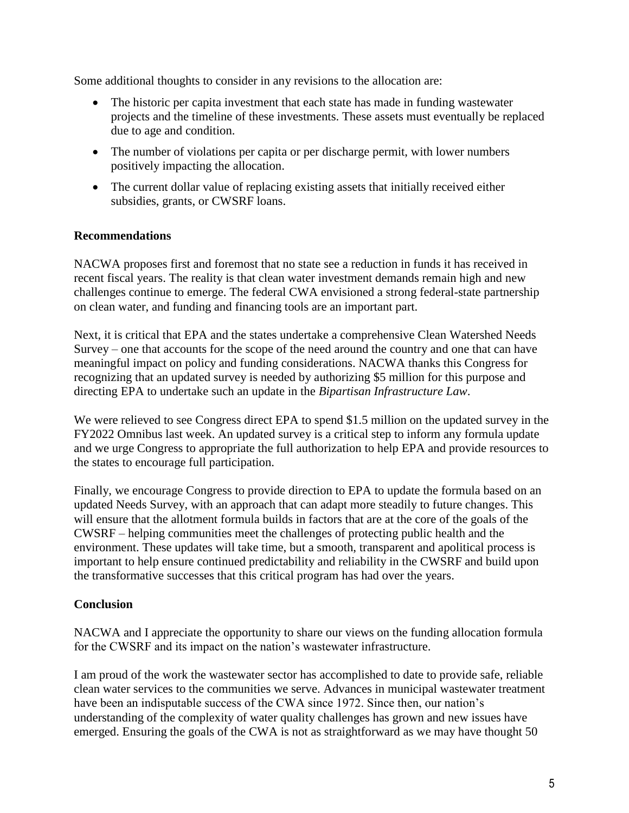Some additional thoughts to consider in any revisions to the allocation are:

- The historic per capita investment that each state has made in funding wastewater projects and the timeline of these investments. These assets must eventually be replaced due to age and condition.
- The number of violations per capita or per discharge permit, with lower numbers positively impacting the allocation.
- The current dollar value of replacing existing assets that initially received either subsidies, grants, or CWSRF loans.

## **Recommendations**

NACWA proposes first and foremost that no state see a reduction in funds it has received in recent fiscal years. The reality is that clean water investment demands remain high and new challenges continue to emerge. The federal CWA envisioned a strong federal-state partnership on clean water, and funding and financing tools are an important part.

Next, it is critical that EPA and the states undertake a comprehensive Clean Watershed Needs Survey – one that accounts for the scope of the need around the country and one that can have meaningful impact on policy and funding considerations. NACWA thanks this Congress for recognizing that an updated survey is needed by authorizing \$5 million for this purpose and directing EPA to undertake such an update in the *Bipartisan Infrastructure Law*.

We were relieved to see Congress direct EPA to spend \$1.5 million on the updated survey in the FY2022 Omnibus last week. An updated survey is a critical step to inform any formula update and we urge Congress to appropriate the full authorization to help EPA and provide resources to the states to encourage full participation.

Finally, we encourage Congress to provide direction to EPA to update the formula based on an updated Needs Survey, with an approach that can adapt more steadily to future changes. This will ensure that the allotment formula builds in factors that are at the core of the goals of the CWSRF – helping communities meet the challenges of protecting public health and the environment. These updates will take time, but a smooth, transparent and apolitical process is important to help ensure continued predictability and reliability in the CWSRF and build upon the transformative successes that this critical program has had over the years.

# **Conclusion**

NACWA and I appreciate the opportunity to share our views on the funding allocation formula for the CWSRF and its impact on the nation's wastewater infrastructure.

I am proud of the work the wastewater sector has accomplished to date to provide safe, reliable clean water services to the communities we serve. Advances in municipal wastewater treatment have been an indisputable success of the CWA since 1972. Since then, our nation's understanding of the complexity of water quality challenges has grown and new issues have emerged. Ensuring the goals of the CWA is not as straightforward as we may have thought 50